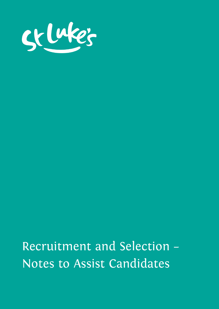

Recruitment and Selection – Notes to Assist Candidates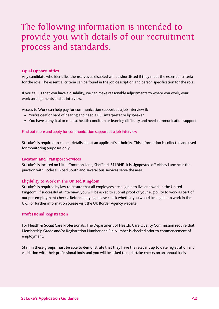# The following information is intended to provide you with details of our recruitment process and standards.

## **Equal Opportunities**

Any candidate who identifies themselves as disabled will be shortlisted if they meet the essential criteria for the role. The essential criteria can be found in the job description and person specification for the role.

If you tell us that you have a disability, we can make reasonable adjustments to where you work, your work arrangements and at interview.

Access to Work can help pay for communication support at a job interview if:

- You're deaf or hard of hearing and need a BSL interpreter or lipspeaker
- You have a physical or mental health condition or learning difficulty and need communication support

## Find out more and apply for [communication](https://www.gov.uk/guidance/apply-for-communication-support-at-a-job-interview-if-you-have-a-disability-or-health-condition-access-to-work) support at a job interview

St Luke's is required to collect details about an applicant's ethnicity. This information is collected and used for monitoring purposes only.

### **Location and Transport Services**

St Luke's is located on Little Common Lane, Sheffield, S11 9NE. It is signposted off Abbey Lane near the junction with Ecclesall Road South and several bus services serve the area.

# **Eligibility to Work in the United Kingdom**

St Luke's is required by law to ensure that all employees are eligible to live and work in the United Kingdom. If successful at interview, you will be asked to submit proof of your eligibility to work as part of our pre-employment checks. Before applying please check whether you would be eligible to work in the UK. For further information please visit the UK Border Agency website.

# **Professional Registration**

For Health & Social Care Professionals, The Department of Health, Care Quality Commission require that Membership Grade and/or Registration Number and Pin Number is checked prior to commencement of employment.

Staff in these groups must be able to demonstrate that they have the relevant up to date registration and validation with their professional body and you will be asked to undertake checks on an annual basis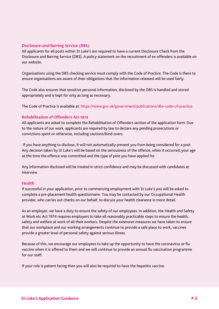## **Disclosure and Barring Service (DBS)**

All applicants for all posts within St Luke's are required to have a current Disclosure Check from the Disclosure and Barring Service (DBS). A policy statement on the recruitment of ex-offenders is available on our website.

Organisations using the DBS checking service must comply with the Code of Practice. The Code is there to ensure organisations are aware of their obligations that the information released will be used fairly.

The Code also ensures that sensitive personal information, disclosed by the DBS is handled and stored appropriately and is kept for only as long as necessary.

The Code of Practice is available at: <https://www.gov.uk/government/publications/dbs-code-of-practice>

# **Rehabilitation of Offenders Act 1974**

All applicants are asked to complete the Rehabilitation of Offenders section of the application form. Due to the nature of our work, applicants are required by law to declare any pending prosecutions or convictions spent or otherwise, including cautions/bind-overs.

If you have anything to disclose, it will not automatically prevent you from being considered for a post. Any decision taken by St Luke's will be based on the seriousness of the offence, when it occurred, your age at the time the offence was committed and the type of post you have applied for.

Any information disclosed will be treated in strict confidence and may be discussed with candidates at interview.

### **Health**

If successful in your application, prior to commencing employment with St Luke's you will be asked to complete a pre-placement health questionnaire. You may be contacted by our Occupational Health provider, who carries out checks on our behalf, to discuss your health clearance in more detail.

As an employer, we have a duty to ensure the safety of our employees. In addition, the Health and Safety at Work etc Act 1974 requires employers to take all reasonably practicable steps to ensure the health, safety and welfare at work of all their workers. Despite the extensive measures we have taken to ensure that our workplace and our working arrangements continue to provide a safe place to work, vaccines provide a greater level of personal safety against serious illness.

Because of this, we encourage our employees to take up the opportunity to have the coronavirus or flu vaccine when it is offered to them and we will continue to provide an annual flu vaccination programme for our staff.

If your role is patient facing then you will also be required to have the hepatitis vaccine.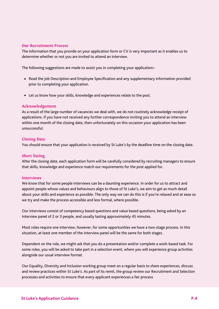### **Our Recruitment Process**

The information that you provide on your application form or CV is very important as it enables us to determine whether or not you are invited to attend an interview.

The following suggestions are made to assist you in completing your application:-

- Read the Job Description and Employee Specification and any supplementary information provided prior to completing your application.
- Let us know how your skills, knowledge and experiences relate to the post.

#### **Acknowledgement**

As a result of the large number of vacancies we deal with, we do not routinely acknowledge receipt of applications. If you have not received any further correspondence inviting you to attend an interview within one month of the closing date, then unfortunately on this occasion your application has been unsuccessful.

#### **Closing Date**

You should ensure that your application is received by St Luke's by the deadline time on the closing date.

#### **Short listing**

After the closing date, each application form will be carefully considered by recruiting managers to ensure that skills, knowledge and experience match our requirements for the post applied for.

#### **Interviews**

We know that for some people interviews can be a daunting experience. In order for us to attract and appoint people whose values and behaviours align to those of St Luke's, we aim to get as much detail about your skills and experience as possible. The only way we can do this is if you're relaxed and at ease so we try and make the process accessible and less formal, where possible.

Our interviews consist of competency based questions and value based questions, being asked by an interview panel of 2 or 3 people, and usually lasting approximately 45 minutes.

Most roles require one interview, however, for some opportunities we have a two-stage process. In this situation, at least one member of the interview panel will be the same for both stages.

Dependent on the role, we might ask that you do a presentation and/or complete a work-based task. For some roles, you will be asked to take part in a selection event, where you will experience group activities alongside our usual interview format.

Our Equality, Diversity and Inclusion working group meet on a regular basis to share experiences, discuss and review practices within St Luke's. As part of its remit, the group review our Recruitment and Selection processes and activities to ensure that every applicant experiences a fair process